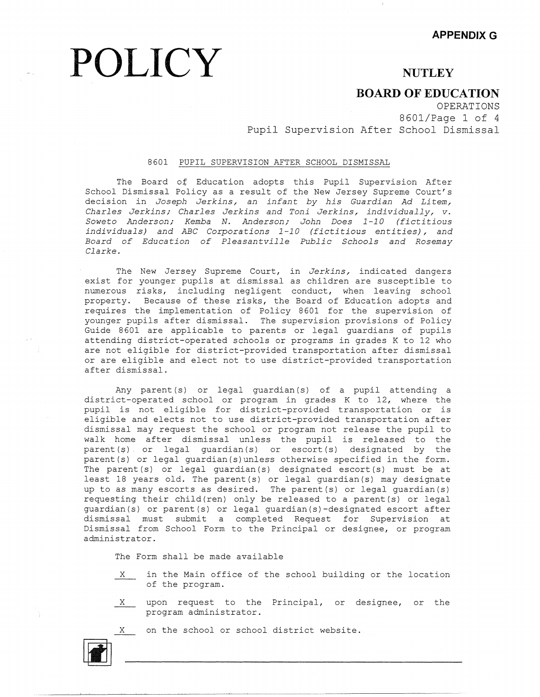## **NUTLEY**

## **BOARD OF EDUCATION**

OPERATIONS 8601/Page 1 of 4 Pupil Supervision After School Dismissal

### 8601 PUPIL SUPERVISION AFTER SCHOOL DISMISSAL

**POLICY** 

The Board of Education adopts this Pupil Supervision Afte School Dismissal Policy as a result of the New Jersey Supreme Court decision in *Joseph Jerkins, an infant by his Guardian Ad Litem, Charles Jerkins; Charles Jerkins and Toni Jerkins, individually, v. Soweto Anderson; Kemba N. Anderson; John Does 1-10 (fictitious individuals) and ABC Corporations 1-10 (fictitious entities), and Board of Education of Pleasantville Public Schools and Rosemay Clarke.* 

The New Jersey Supreme Court, in *Jerkins,* indicated dangers exist for younger pupils at dismissal as children are susceptible to numerous risks, including negligent conduct, when leaving school property. Because of these risks, the Board of Education adopts and requires the implementation of Policy 8601 for the supervision of younger pupils after dismissal. The supervision provisions of Policy Guide 8601 are applicable to parents or legal guardians of pupils attending district-operated schools or programs in grades K to 12 who are not eligible for district-provided transportation after dismissal or are eligible and elect not to use district-provided transportation after dismissal.

Any parent (s) or legal guardian (s) of a pupil attending a district-operated school or program in grades K to 12, where the pupil is not eligible for district-provided transportation or is eligible and elects not to use district-provided transportation after dismissal may request the school or program not release the pupil to walk home after dismissal unless the pupil is released to the parent(\$) or legal guardian(s) or escort(s) designated by the parent(s) or legal guardian(s)unless otherwise specified in the form. The parent(s) or legal guardian(s) designated escort(s) must be at least 18 years old. The parent(s) or legal guardian(s) may designate up to as many escorts as desired. The parent(s) or legal guardian(s) requesting their child(ren) only be released to a parent(s) or legal guardian(s) or parent(s) or legal guardian(s)-designated escort after dismissal must submit a completed Request for Supervision at Dismissal from School Form to the Principal or designee, or program administrator.

The Form shall be made available

- $X$  in the Main office of the school building or the location of the program.
- X upon request to the Principal, or designee, or the program administrator.

X on the school or school district website.

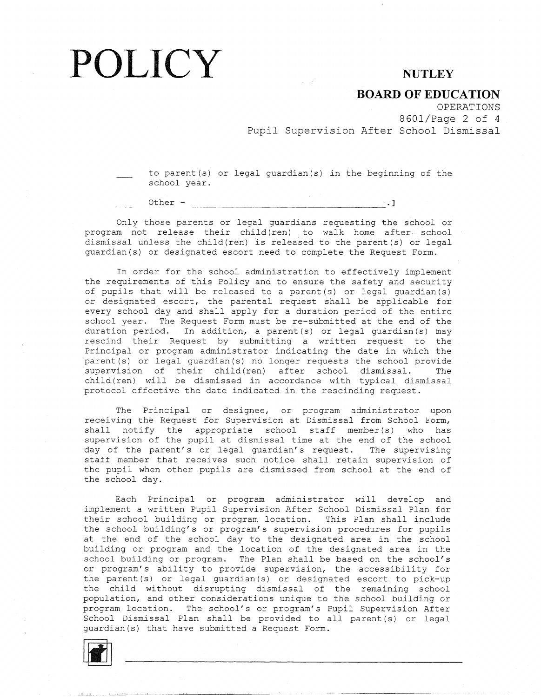## POLICY NUTLEY

### **BOARD OF EDUCATION**

OPERATIONS 8601/Page 2 of 4

Pupil Supervision After School Dismissal

to parent(s) or legal guardian(s) in the beginning of the school year.

Other  $-$ 

Only those parents or legal guardians requesting the school or program not release their child(ren) to walk home after school dismissal unless the child(ren) is released to the parent(s) or legal guardian(s) or designated escort need to complete the Request Form.

In order for the school administration to effectively implement the requirements of this Policy and to ensure the safety and security of pupils that will be released to a parent(s) or legal guardian(s) or designated escort, the parental request shall be applicable for every school day and shall apply for a duration period of the entire school year. The Request Form must be re-submitted at the end of the duration period. In addition, a parent(s) or legal guardian(s) may rescind their Request by submitting a written request to the Principal or program administrator indicating the date in which the parent(s) or legal guardian(s) no longer requests the school provide supervision of their child(ren) after school dismissal. The child(ren) will be dismissed in accordance with typical dismissal protocol effective the date indicated in the rescinding request.

The Principal or designee, or program administrator upon receiving the Request for Supervision at Dismissal from School Form, shall notify the appropriate school staff member(s) who has supervision of the pupil at dismissal time at the end of the school day of the parent's or legal guardian's request. The supervising staff member that receives such notice shall retain supervision of the pupil when other pupils are dismissed from school at the end of the school day.

Each Principal or program administrator will develop and implement a written Pupil Supervision After School Dismissal Plan for their school building or program location. This Plan shall include the school building's or program's supervision procedures for pupils at the end of the school day to the designated area in the school building or program and the location of the designated area in the school building or program. The Plan shall be based on the school's or program's ability to provide supervision, the accessibility for the parent (s) or legal guardian (s) or designated escort to pick-up the child without disrupting dismissal of the remaining school population, and other considerations unique to the school building or program location. The school's or program's Pupil Supervision After School Dismissal Plan shall be provided to all parent (s) or legal guardian(s) that have submitted a Request Form.

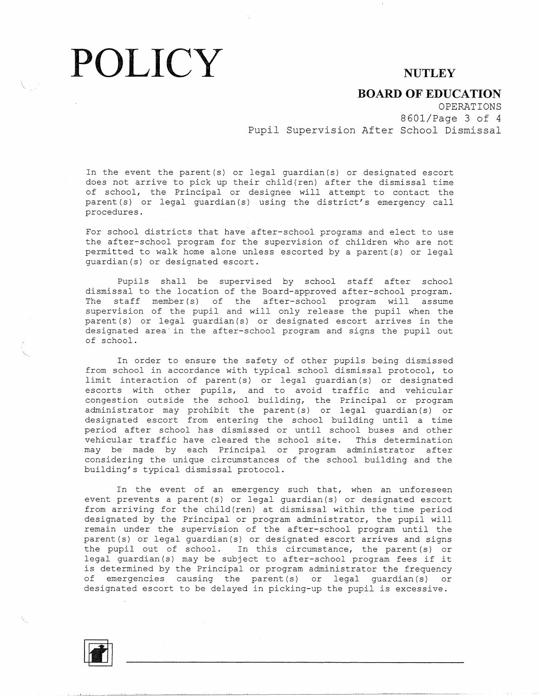## POLICY NUTLEY

**BOARD OF EDUCATION** 

OPERATIONS 8601/Page 3 of 4 Pupil Supervision After School Dismissal

In the event the parent(s) or legal guardian(s) or designated escort does not arrive to pick up their child(ren) after the dismissal time of school, the Principal or designee will attempt to contact the parent (s) or legal guardian (s) using the district's emergency call procedures.

For school districts that have after-school programs and elect to use the after-school program for the supervision of children who are not permitted to walk home alone unless escorted by a parent(s) or legal guardian(s) or designated escort.

Pupils shall be supervised by school staff after school dismissal to the location of the Board-approved after-school program. The staff member(s) of the after-school program will assume supervision of the pupil and will only release the pupil when the parent (s) or legal guardian (s) or designated escort arrives in the designated area in the after-school program and signs the pupil out of school.

In order to ensure the safety of other pupils being dismissed from school in accordance with typical school dismissal protocol, to limit interaction of parent (s) or legal guardian (s) or designated escorts with other pupils, and to avoid traffic and vehicular congestion outside the school building, the Principal or program administrator may prohibit the parent(s) or legal guardian(s) or designated escort from entering the school building until a time period after school has dismissed or until school buses and other vehicular traffic have cleared the school site. This determination may be made by each Principal or program administrator after considering the unique circumstances of the school building and the building's typical dismissal protocol.

In the event of an emergency such that, when an unforeseen event prevents a parent(s) or legal guardian(s) or designated escort from arriving for the child(ren) at dismissal within the time period designated by the Principal or program administrator, the pupil will remain under the supervision of the after-school program until the parent(s) or legal guardian(s) or designated escort arrives and signs the pupil out of school. In this circumstance, the parent (s) or legal guardian(s) may be subject to after-school program fees if it is determined by the Principal or program administrator the frequency of emergencies causing the parent(s) or legal guardian(s) or designated escort to be delayed in picking-up the pupil is excessive.